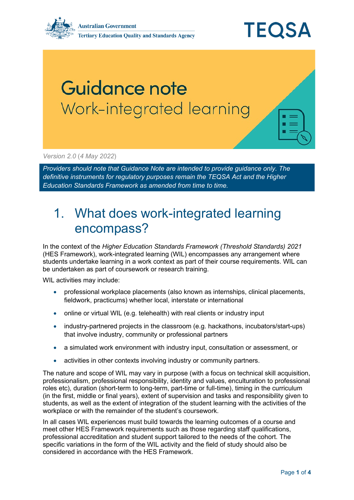

## Guidance note Work-integrated learning

*Version 2.0* (*4 May 2022*)

*Providers should note that Guidance Note are intended to provide guidance only. The definitive instruments for regulatory purposes remain the TEQSA Act and the Higher Education Standards Framework as amended from time to time.*

## 1. What does work-integrated learning encompass?

In the context of the *Higher Education Standards Framework (Threshold Standards) 2021* (HES Framework), work-integrated learning (WIL) encompasses any arrangement where students undertake learning in a work context as part of their course requirements. WIL can be undertaken as part of coursework or research training.

WIL activities may include:

- professional workplace placements (also known as internships, clinical placements, fieldwork, practicums) whether local, interstate or international
- online or virtual WIL (e.g. telehealth) with real clients or industry input
- industry-partnered projects in the classroom (e.g. hackathons, incubators/start-ups) that involve industry, community or professional partners
- a simulated work environment with industry input, consultation or assessment, or
- activities in other contexts involving industry or community partners.

The nature and scope of WIL may vary in purpose (with a focus on technical skill acquisition, professionalism, professional responsibility, identity and values, enculturation to professional roles etc), duration (short-term to long-term, part-time or full-time), timing in the curriculum (in the first, middle or final years), extent of supervision and tasks and responsibility given to students, as well as the extent of integration of the student learning with the activities of the workplace or with the remainder of the student's coursework.

In all cases WIL experiences must build towards the learning outcomes of a course and meet other HES Framework requirements such as those regarding staff qualifications, professional accreditation and student support tailored to the needs of the cohort. The specific variations in the form of the WIL activity and the field of study should also be considered in accordance with the HES Framework.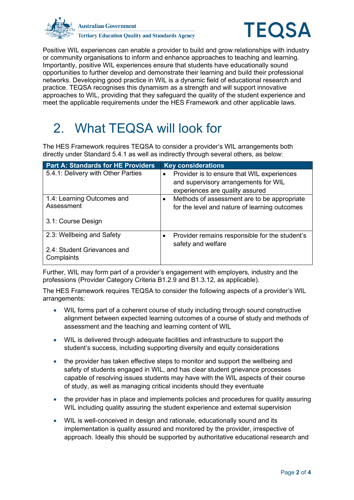



Positive WIL experiences can enable a provider to build and grow relationships with industry or community organisations to inform and enhance approaches to teaching and learning. Importantly, positive WIL experiences ensure that students have educationally sound opportunities to further develop and demonstrate their learning and build their professional networks. Developing good practice in WIL is a dynamic field of educational research and practice. TEQSA recognises this dynamism as a strength and will support innovative approaches to WIL, providing that they safeguard the quality of the student experience and meet the applicable requirements under the HES Framework and other applicable laws.

## 2. What TEQSA will look for

The HES Framework requires TEQSA to consider a provider's WIL arrangements both directly under Standard 5.4.1 as well as indirectly through several others, as below:

| <b>Part A: Standards for HE Providers</b> | <b>Key considerations</b>                                |
|-------------------------------------------|----------------------------------------------------------|
| 5.4.1: Delivery with Other Parties        | Provider is to ensure that WIL experiences<br>$\bullet$  |
|                                           | and supervisory arrangements for WIL                     |
|                                           | experiences are quality assured                          |
| 1.4: Learning Outcomes and                | Methods of assessment are to be appropriate<br>$\bullet$ |
| Assessment                                | for the level and nature of learning outcomes            |
| 3.1: Course Design                        |                                                          |
| 2.3: Wellbeing and Safety                 | Provider remains responsible for the student's<br>٠      |
| 2.4: Student Grievances and<br>Complaints | safety and welfare                                       |

Further, WIL may form part of a provider's engagement with employers, industry and the professions (Provider Category Criteria B1.2.9 and B1.3.12, as applicable).

The HES Framework requires TEQSA to consider the following aspects of a provider's WIL arrangements:

- WIL forms part of a coherent course of study including through sound constructive alignment between expected learning outcomes of a course of study and methods of assessment and the teaching and learning content of WIL
- WIL is delivered through adequate facilities and infrastructure to support the student's success, including supporting diversity and equity considerations
- the provider has taken effective steps to monitor and support the wellbeing and safety of students engaged in WIL, and has clear student grievance processes capable of resolving issues students may have with the WIL aspects of their course of study, as well as managing critical incidents should they eventuate
- the provider has in place and implements policies and procedures for quality assuring WIL including quality assuring the student experience and external supervision
- WIL is well-conceived in design and rationale, educationally sound and its implementation is quality assured and monitored by the provider, irrespective of approach. Ideally this should be supported by authoritative educational research and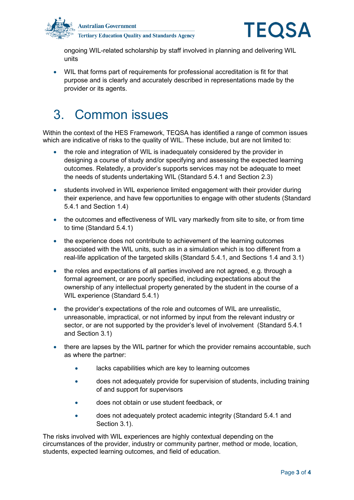



ongoing WIL-related scholarship by staff involved in planning and delivering WIL units

• WIL that forms part of requirements for professional accreditation is fit for that purpose and is clearly and accurately described in representations made by the provider or its agents.

## 3. Common issues

Within the context of the HES Framework, TEQSA has identified a range of common issues which are indicative of risks to the quality of WIL. These include, but are not limited to:

- the role and integration of WIL is inadequately considered by the provider in designing a course of study and/or specifying and assessing the expected learning outcomes. Relatedly, a provider's supports services may not be adequate to meet the needs of students undertaking WIL (Standard 5.4.1 and Section 2.3)
- students involved in WIL experience limited engagement with their provider during their experience, and have few opportunities to engage with other students (Standard 5.4.1 and Section 1.4)
- the outcomes and effectiveness of WIL vary markedly from site to site, or from time to time (Standard 5.4.1)
- the experience does not contribute to achievement of the learning outcomes associated with the WIL units, such as in a simulation which is too different from a real-life application of the targeted skills (Standard 5.4.1, and Sections 1.4 and 3.1)
- the roles and expectations of all parties involved are not agreed, e.g. through a formal agreement, or are poorly specified, including expectations about the ownership of any intellectual property generated by the student in the course of a WIL experience (Standard 5.4.1)
- the provider's expectations of the role and outcomes of WIL are unrealistic, unreasonable, impractical, or not informed by input from the relevant industry or sector, or are not supported by the provider's level of involvement (Standard 5.4.1 and Section 3.1)
- there are lapses by the WIL partner for which the provider remains accountable, such as where the partner:
	- lacks capabilities which are key to learning outcomes
	- does not adequately provide for supervision of students, including training of and support for supervisors
	- does not obtain or use student feedback, or
	- does not adequately protect academic integrity (Standard 5.4.1 and Section 3.1).

The risks involved with WIL experiences are highly contextual depending on the circumstances of the provider, industry or community partner, method or mode, location, students, expected learning outcomes, and field of education.